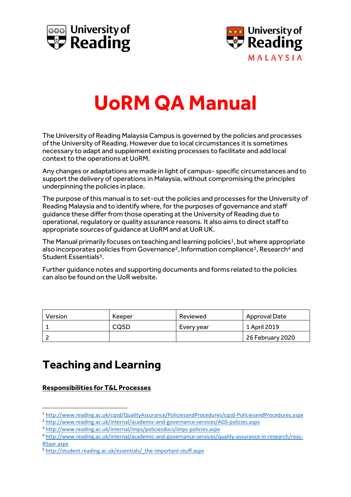



# **UoRM QA Manual**

The University of Reading Malaysia Campus is governed by the policies and processes of the University of Reading. However due to local circumstances it is sometimes necessary to adapt and supplement existing processes to facilitate and add local context to the operations at UoRM.

Any changes or adaptations are made in light of campus- specific circumstances and to support the delivery of operations in Malaysia, without compromising the principles underpinning the policies in place.

The purpose of this manual is to set-out the policies and processes for the University of Reading Malaysia and to identify where, for the purposes of governance and staff guidance these differ from those operating at the University of Reading due to operational, regulatory or quality assurance reasons. It also aims to direct staff to appropriate sources of guidance at UoRM and at UoR UK.

The Manual primarily focuses on teaching and learning policies<sup>1</sup>, but where appropriate also incorporates policies from Governance<sup>2</sup>, Information compliance<sup>3</sup>, Research<sup>4</sup> and Student Essentials<sup>5</sup>.

Further guidance notes and supporting documents and forms related to the policies can also be found on the UoR website.

| Version | Keeper | Reviewed   | Approval Date    |
|---------|--------|------------|------------------|
|         | CQSD   | Every year | 1 April 2019     |
|         |        |            | 26 February 2020 |

## **Teaching and Learning**

**Responsibilities for T&L Processes**

**.** 

<sup>1</sup> <http://www.reading.ac.uk/cqsd/QualityAssurance/PoliciesandProcedures/cqsd-PoliciesandProcedures.aspx>

<sup>2</sup> <http://www.reading.ac.uk/internal/academic-and-governance-services/AGS-policies.aspx>

<sup>3</sup> <http://www.reading.ac.uk/internal/imps/policiesdocs/imps-policies.aspx>

<sup>4</sup> [http://www.reading.ac.uk/internal/academic-and-governance-services/quality-assurance-in-research/reas-](http://www.reading.ac.uk/internal/academic-and-governance-services/quality-assurance-in-research/reas-RSqar.aspx)[RSqar.aspx](http://www.reading.ac.uk/internal/academic-and-governance-services/quality-assurance-in-research/reas-RSqar.aspx)

<sup>5</sup> [http://student.reading.ac.uk/essentials/\\_the-important-stuff.aspx](http://student.reading.ac.uk/essentials/_the-important-stuff.aspx)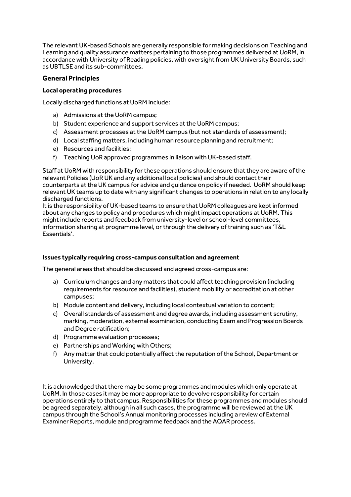The relevant UK-based Schools are generally responsible for making decisions on Teaching and Learning and quality assurance matters pertaining to those programmes delivered at UoRM, in accordance with University of Reading policies, with oversight from UK University Boards, such as UBTLSE and its sub-committees.

#### **General Principles**

#### **Local operating procedures**

Locally discharged functions at UoRM include:

- a) Admissions at the UoRM campus;
- b) Student experience and support services at the UoRM campus;
- c) Assessment processes at the UoRM campus (but not standards of assessment);
- d) Local staffing matters, including human resource planning and recruitment;
- e) Resources and facilities;
- f) Teaching UoR approved programmes in liaison with UK-based staff.

Staff at UoRM with responsibility for these operations should ensure that they are aware of the relevant Policies (UoR UK and any additional local policies) and should contact their counterparts at the UK campus for advice and guidance on policy if needed. UoRM should keep relevant UK teams up to date with any significant changes to operations in relation to any locally discharged functions.

It is the responsibility of UK-based teams to ensure that UoRM colleagues are kept informed about any changes to policy and procedures which might impact operations at UoRM. This might include reports and feedback from university-level or school-level committees, information sharing at programme level, or through the delivery of training such as 'T&L Essentials'.

#### **Issues typically requiring cross-campus consultation and agreement**

The general areas that should be discussed and agreed cross-campus are:

- a) Curriculum changes and any matters that could affect teaching provision (including requirements for resource and facilities), student mobility or accreditation at other campuses;
- b) Module content and delivery, including local contextual variation to content;
- c) Overall standards of assessment and degree awards, including assessment scrutiny, marking, moderation, external examination, conducting Exam and Progression Boards and Degree ratification;
- d) Programme evaluation processes;
- e) Partnerships and Working with Others;
- f) Any matter that could potentially affect the reputation of the School, Department or University.

It is acknowledged that there may be some programmes and modules which only operate at UoRM. In those cases it may be more appropriate to devolve responsibility for certain operations entirely to that campus. Responsibilities for these programmes and modules should be agreed separately, although in all such cases, the programme will be reviewed at the UK campus through the School's Annual monitoring processes including a review of External Examiner Reports, module and programme feedback and the AQAR process.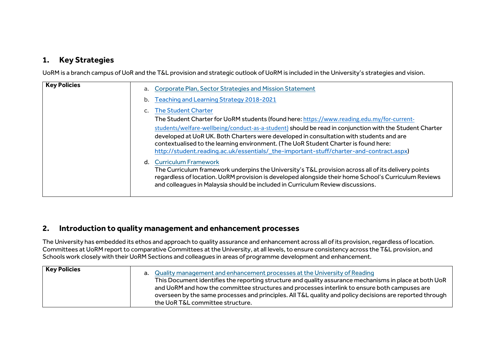#### **1. Key Strategies**

UoRM is a branch campus of UoR and the T&L provision and strategic outlook of UoRM is included in the University's strategies and vision.

| <b>Key Policies</b> | a. | Corporate Plan, Sector Strategies and Mission Statement                                                                                                                                                                                                                                        |
|---------------------|----|------------------------------------------------------------------------------------------------------------------------------------------------------------------------------------------------------------------------------------------------------------------------------------------------|
|                     | b. | Teaching and Learning Strategy 2018-2021                                                                                                                                                                                                                                                       |
|                     |    | <b>The Student Charter</b>                                                                                                                                                                                                                                                                     |
|                     |    | The Student Charter for UoRM students (found here: https://www.reading.edu.my/for-current-                                                                                                                                                                                                     |
|                     |    | students/welfare-wellbeing/conduct-as-a-student) should be read in conjunction with the Student Charter                                                                                                                                                                                        |
|                     |    | developed at UoR UK. Both Charters were developed in consultation with students and are<br>contextualised to the learning environment. (The UoR Student Charter is found here:                                                                                                                 |
|                     |    | http://student.reading.ac.uk/essentials/_the-important-stuff/charter-and-contract.aspx)                                                                                                                                                                                                        |
|                     |    | d. Curriculum Framework                                                                                                                                                                                                                                                                        |
|                     |    | The Curriculum framework underpins the University's T&L provision across all of its delivery points<br>regardless of location. UoRM provision is developed alongside their home School's Curriculum Reviews<br>and colleagues in Malaysia should be included in Curriculum Review discussions. |
|                     |    |                                                                                                                                                                                                                                                                                                |

#### **2. Introduction to quality management and enhancement processes**

The University has embedded its ethos and approach to quality assurance and enhancement across all of its provision, regardless of location. Committees at UoRM report to comparative Committees at the University, at all levels, to ensure consistency across the T&L provision, and Schools work closely with their UoRM Sections and colleagues in areas of programme development and enhancement.

| <b>Key Policies</b> | a. Quality management and enhancement processes at the University of Reading<br>This Document identifies the reporting structure and quality assurance mechanisms in place at both UoR<br>and UoRM and how the committee structures and processes interlink to ensure both campuses are<br>overseen by the same processes and principles. All T&L quality and policy decisions are reported through |
|---------------------|-----------------------------------------------------------------------------------------------------------------------------------------------------------------------------------------------------------------------------------------------------------------------------------------------------------------------------------------------------------------------------------------------------|
|                     | the UoR T&L committee structure.                                                                                                                                                                                                                                                                                                                                                                    |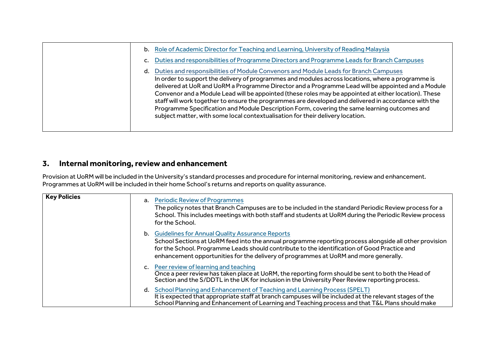| b. Role of Academic Director for Teaching and Learning, University of Reading Malaysia                                                                                                                                                                                                                                                                                                                                                                                                                                                                                                                                                                                                             |
|----------------------------------------------------------------------------------------------------------------------------------------------------------------------------------------------------------------------------------------------------------------------------------------------------------------------------------------------------------------------------------------------------------------------------------------------------------------------------------------------------------------------------------------------------------------------------------------------------------------------------------------------------------------------------------------------------|
| Duties and responsibilities of Programme Directors and Programme Leads for Branch Campuses                                                                                                                                                                                                                                                                                                                                                                                                                                                                                                                                                                                                         |
| Duties and responsibilities of Module Convenors and Module Leads for Branch Campuses<br>In order to support the delivery of programmes and modules across locations, where a programme is<br>delivered at UoR and UoRM a Programme Director and a Programme Lead will be appointed and a Module<br>Convenor and a Module Lead will be appointed (these roles may be appointed at either location). These<br>staff will work together to ensure the programmes are developed and delivered in accordance with the<br>Programme Specification and Module Description Form, covering the same learning outcomes and<br>subject matter, with some local contextualisation for their delivery location. |

## **3. Internal monitoring, review and enhancement**

Provision at UoRM will be included in the University's standard processes and procedure for internal monitoring, review and enhancement. Programmes at UoRM will be included in their home School's returns and reports on quality assurance.

| <b>Key Policies</b> | a. Periodic Review of Programmes<br>The policy notes that Branch Campuses are to be included in the standard Periodic Review process for a<br>School. This includes meetings with both staff and students at UoRM during the Periodic Review process<br>for the School.                                                                                     |
|---------------------|-------------------------------------------------------------------------------------------------------------------------------------------------------------------------------------------------------------------------------------------------------------------------------------------------------------------------------------------------------------|
|                     | <b>b.</b> Guidelines for Annual Quality Assurance Reports<br>School Sections at UoRM feed into the annual programme reporting process alongside all other provision<br>for the School. Programme Leads should contribute to the identification of Good Practice and<br>enhancement opportunities for the delivery of programmes at UoRM and more generally. |
|                     | c. Peer review of learning and teaching<br>Once a peer review has taken place at UoRM, the reporting form should be sent to both the Head of<br>Section and the S/DDTL in the UK for inclusion in the University Peer Review reporting process.                                                                                                             |
|                     | School Planning and Enhancement of Teaching and Learning Process (SPELT)<br>d.<br>It is expected that appropriate staff at branch campuses will be included at the relevant stages of the<br>School Planning and Enhancement of Learning and Teaching process and that T&L Plans should make                                                                |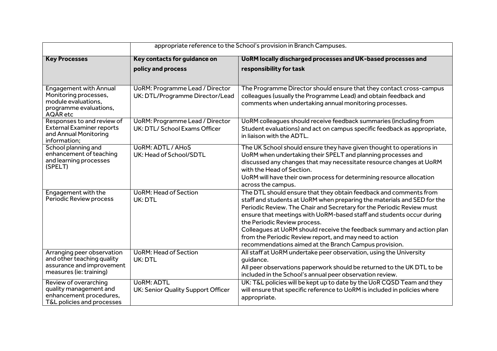| appropriate reference to the School's provision in Branch Campuses.                                                 |                                                                           |                                                                                                                                                                                                                                                                                                                                                                                                                                                                                                                             |
|---------------------------------------------------------------------------------------------------------------------|---------------------------------------------------------------------------|-----------------------------------------------------------------------------------------------------------------------------------------------------------------------------------------------------------------------------------------------------------------------------------------------------------------------------------------------------------------------------------------------------------------------------------------------------------------------------------------------------------------------------|
| <b>Key Processes</b>                                                                                                | Key contacts for guidance on                                              | UoRM locally discharged processes and UK-based processes and                                                                                                                                                                                                                                                                                                                                                                                                                                                                |
|                                                                                                                     | policy and process                                                        | responsibility for task                                                                                                                                                                                                                                                                                                                                                                                                                                                                                                     |
|                                                                                                                     |                                                                           |                                                                                                                                                                                                                                                                                                                                                                                                                                                                                                                             |
| <b>Engagement with Annual</b><br>Monitoring processes,<br>module evaluations,<br>programme evaluations,<br>AQAR etc | <b>UoRM: Programme Lead / Director</b><br>UK: DTL/Programme Director/Lead | The Programme Director should ensure that they contact cross-campus<br>colleagues (usually the Programme Lead) and obtain feedback and<br>comments when undertaking annual monitoring processes.                                                                                                                                                                                                                                                                                                                            |
| Responses to and review of<br><b>External Examiner reports</b><br>and Annual Monitoring<br>information;             | <b>UoRM: Programme Lead / Director</b><br>UK: DTL/ School Exams Officer   | UoRM colleagues should receive feedback summaries (including from<br>Student evaluations) and act on campus specific feedback as appropriate,<br>in liaison with the ADTL.                                                                                                                                                                                                                                                                                                                                                  |
| School planning and<br>enhancement of teaching<br>and learning processes<br>(SPELT)                                 | <b>UoRM: ADTL / AHoS</b><br>UK: Head of School/SDTL                       | The UK School should ensure they have given thought to operations in<br>UoRM when undertaking their SPELT and planning processes and<br>discussed any changes that may necessitate resource changes at UoRM<br>with the Head of Section.<br>UoRM will have their own process for determining resource allocation<br>across the campus.                                                                                                                                                                                      |
| Engagement with the<br>Periodic Review process                                                                      | <b>UoRM: Head of Section</b><br>UK: DTL                                   | The DTL should ensure that they obtain feedback and comments from<br>staff and students at UoRM when preparing the materials and SED for the<br>Periodic Review. The Chair and Secretary for the Periodic Review must<br>ensure that meetings with UoRM-based staff and students occur during<br>the Periodic Review process.<br>Colleagues at UoRM should receive the feedback summary and action plan<br>from the Periodic Review report, and may need to action<br>recommendations aimed at the Branch Campus provision. |
| Arranging peer observation<br>and other teaching quality<br>assurance and improvement<br>measures (ie: training)    | <b>UoRM: Head of Section</b><br>UK: DTL                                   | All staff at UoRM undertake peer observation, using the University<br>quidance.<br>All peer observations paperwork should be returned to the UK DTL to be<br>included in the School's annual peer observation review.                                                                                                                                                                                                                                                                                                       |
| Review of overarching<br>quality management and<br>enhancement procedures,<br>T&L policies and processes            | <b>UoRM: ADTL</b><br>UK: Senior Quality Support Officer                   | UK: T&L policies will be kept up to date by the UoR CQSD Team and they<br>will ensure that specific reference to UoRM is included in policies where<br>appropriate.                                                                                                                                                                                                                                                                                                                                                         |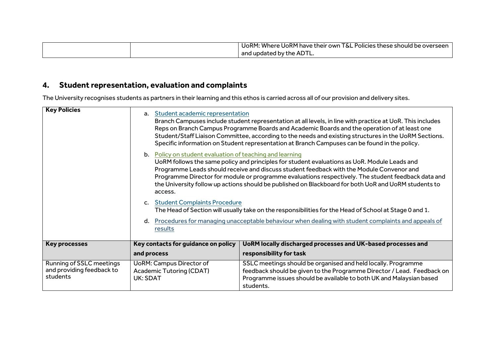|  | T&L<br>l UoRM: Where UoRM have their own 1<br>L Policies these should be overseen . |
|--|-------------------------------------------------------------------------------------|
|  | and updated by the ADTL.                                                            |

## **4. Student representation, evaluation and complaints**

The University recognises students as partners in their learning and this ethos is carried across all of our provision and delivery sites.

| <b>Key Policies</b>                                               | Student academic representation<br>$a_{-}$<br>b. Policy on student evaluation of teaching and learning<br>access.<br>c. Student Complaints Procedure<br>d.<br>results | Branch Campuses include student representation at all levels, in line with practice at UoR. This includes<br>Reps on Branch Campus Programme Boards and Academic Boards and the operation of at least one<br>Student/Staff Liaison Committee, according to the needs and existing structures in the UoRM Sections.<br>Specific information on Student representation at Branch Campuses can be found in the policy.<br>UoRM follows the same policy and principles for student evaluations as UoR. Module Leads and<br>Programme Leads should receive and discuss student feedback with the Module Convenor and<br>Programme Director for module or programme evaluations respectively. The student feedback data and<br>the University follow up actions should be published on Blackboard for both UoR and UoRM students to<br>The Head of Section will usually take on the responsibilities for the Head of School at Stage 0 and 1.<br>Procedures for managing unacceptable behaviour when dealing with student complaints and appeals of |
|-------------------------------------------------------------------|-----------------------------------------------------------------------------------------------------------------------------------------------------------------------|-----------------------------------------------------------------------------------------------------------------------------------------------------------------------------------------------------------------------------------------------------------------------------------------------------------------------------------------------------------------------------------------------------------------------------------------------------------------------------------------------------------------------------------------------------------------------------------------------------------------------------------------------------------------------------------------------------------------------------------------------------------------------------------------------------------------------------------------------------------------------------------------------------------------------------------------------------------------------------------------------------------------------------------------------|
| <b>Key processes</b>                                              | Key contacts for guidance on policy                                                                                                                                   | UoRM locally discharged processes and UK-based processes and                                                                                                                                                                                                                                                                                                                                                                                                                                                                                                                                                                                                                                                                                                                                                                                                                                                                                                                                                                                  |
|                                                                   | and process                                                                                                                                                           | responsibility for task                                                                                                                                                                                                                                                                                                                                                                                                                                                                                                                                                                                                                                                                                                                                                                                                                                                                                                                                                                                                                       |
| Running of SSLC meetings<br>and providing feedback to<br>students | <b>UoRM: Campus Director of</b><br><b>Academic Tutoring (CDAT)</b><br>UK: SDAT                                                                                        | SSLC meetings should be organised and held locally. Programme<br>feedback should be given to the Programme Director / Lead. Feedback on<br>Programme issues should be available to both UK and Malaysian based<br>students.                                                                                                                                                                                                                                                                                                                                                                                                                                                                                                                                                                                                                                                                                                                                                                                                                   |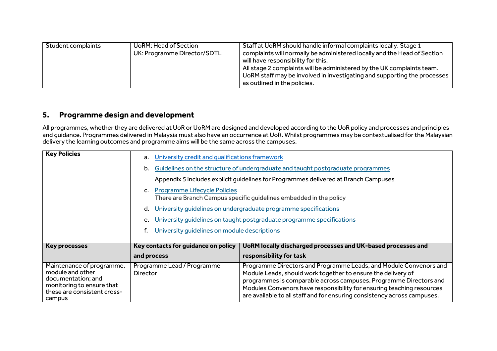| Student complaints | UoRM: Head of Section<br>UK: Programme Director/SDTL | Staff at UoRM should handle informal complaints locally. Stage 1<br>complaints will normally be administered locally and the Head of Section<br>will have responsibility for this.<br>All stage 2 complaints will be administered by the UK complaints team.<br>UoRM staff may be involved in investigating and supporting the processes<br>as outlined in the policies. |
|--------------------|------------------------------------------------------|--------------------------------------------------------------------------------------------------------------------------------------------------------------------------------------------------------------------------------------------------------------------------------------------------------------------------------------------------------------------------|
|--------------------|------------------------------------------------------|--------------------------------------------------------------------------------------------------------------------------------------------------------------------------------------------------------------------------------------------------------------------------------------------------------------------------------------------------------------------------|

#### **5. Programme design and development**

All programmes, whether they are delivered at UoR or UoRM are designed and developed according to the UoR policy and processes and principles and guidance. Programmes delivered in Malaysia must also have an occurrence at UoR. Whilst programmes may be contextualised for the Malaysian delivery the learning outcomes and programme aims will be the same across the campuses.

| <b>Key Policies</b>                                                                                                                       | a.<br>b.<br>c. Programme Lifecycle Policies<br>d.<br>е. | University credit and qualifications framework<br>Guidelines on the structure of undergraduate and taught postgraduate programmes<br>Appendix 5 includes explicit guidelines for Programmes delivered at Branch Campuses<br>There are Branch Campus specific guidelines embedded in the policy<br>University guidelines on undergraduate programme specifications<br>University guidelines on taught postgraduate programme specifications<br>University guidelines on module descriptions |  |
|-------------------------------------------------------------------------------------------------------------------------------------------|---------------------------------------------------------|--------------------------------------------------------------------------------------------------------------------------------------------------------------------------------------------------------------------------------------------------------------------------------------------------------------------------------------------------------------------------------------------------------------------------------------------------------------------------------------------|--|
| <b>Key processes</b>                                                                                                                      | Key contacts for guidance on policy<br>and process      | UoRM locally discharged processes and UK-based processes and<br>responsibility for task                                                                                                                                                                                                                                                                                                                                                                                                    |  |
| Maintenance of programme,<br>module and other<br>documentation; and<br>monitoring to ensure that<br>these are consistent cross-<br>campus | Programme Lead / Programme<br>Director                  | Programme Directors and Programme Leads, and Module Convenors and<br>Module Leads, should work together to ensure the delivery of<br>programmes is comparable across campuses. Programme Directors and<br>Modules Convenors have responsibility for ensuring teaching resources<br>are available to all staff and for ensuring consistency across campuses.                                                                                                                                |  |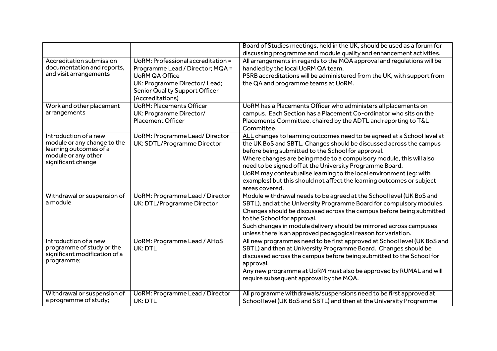|                                               |                                        | Board of Studies meetings, held in the UK, should be used as a forum for                            |
|-----------------------------------------------|----------------------------------------|-----------------------------------------------------------------------------------------------------|
|                                               |                                        | discussing programme and module quality and enhancement activities.                                 |
| <b>Accreditation submission</b>               | UoRM: Professional accreditation =     | All arrangements in regards to the MQA approval and regulations will be                             |
| documentation and reports,                    | Programme Lead / Director; MQA =       | handled by the local UoRM QA team.                                                                  |
| and visit arrangements                        | <b>UoRM QA Office</b>                  | PSRB accreditations will be administered from the UK, with support from                             |
|                                               | UK: Programme Director/ Lead;          | the QA and programme teams at UoRM.                                                                 |
|                                               | <b>Senior Quality Support Officer</b>  |                                                                                                     |
|                                               | (Accreditations)                       |                                                                                                     |
| Work and other placement                      | <b>UoRM: Placements Officer</b>        | UoRM has a Placements Officer who administers all placements on                                     |
| arrangements                                  | UK: Programme Director/                | campus. Each Section has a Placement Co-ordinator who sits on the                                   |
|                                               | <b>Placement Officer</b>               | Placements Committee, chaired by the ADTL and reporting to T&L                                      |
|                                               |                                        | Committee.                                                                                          |
| Introduction of a new                         | <b>UoRM: Programme Lead/ Director</b>  | ALL changes to learning outcomes need to be agreed at a School level at                             |
| module or any change to the                   | UK: SDTL/Programme Director            | the UK BoS and SBTL. Changes should be discussed across the campus                                  |
| learning outcomes of a<br>module or any other |                                        | before being submitted to the School for approval.                                                  |
| significant change                            |                                        | Where changes are being made to a compulsory module, this will also                                 |
|                                               |                                        | need to be signed off at the University Programme Board.                                            |
|                                               |                                        | UoRM may contextualise learning to the local environment (eg: with                                  |
|                                               |                                        | examples) but this should not affect the learning outcomes or subject                               |
|                                               |                                        | areas covered.                                                                                      |
| Withdrawal or suspension of<br>a module       | <b>UoRM: Programme Lead / Director</b> | Module withdrawal needs to be agreed at the School level (UK BoS and                                |
|                                               | UK: DTL/Programme Director             | SBTL), and at the University Programme Board for compulsory modules.                                |
|                                               |                                        | Changes should be discussed across the campus before being submitted<br>to the School for approval. |
|                                               |                                        | Such changes in module delivery should be mirrored across campuses                                  |
|                                               |                                        | unless there is an approved pedagogical reason for variation.                                       |
| Introduction of a new                         | <b>UoRM: Programme Lead / AHoS</b>     | All new programmes need to be first approved at School level (UK BoS and                            |
| programme of study or the                     | UK: DTL                                | SBTL) and then at University Programme Board. Changes should be                                     |
| significant modification of a                 |                                        | discussed across the campus before being submitted to the School for                                |
| programme;                                    |                                        | approval.                                                                                           |
|                                               |                                        | Any new programme at UoRM must also be approved by RUMAL and will                                   |
|                                               |                                        | require subsequent approval by the MQA.                                                             |
|                                               |                                        |                                                                                                     |
| Withdrawal or suspension of                   | <b>UoRM: Programme Lead / Director</b> | All programme withdrawals/suspensions need to be first approved at                                  |
| a programme of study;                         | UK: DTL                                | School level (UK BoS and SBTL) and then at the University Programme                                 |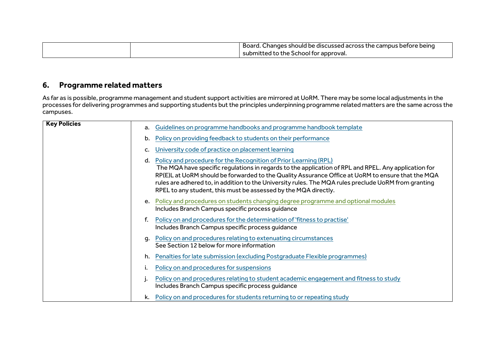|  | Board. Changes should be discussed across the campus before being |
|--|-------------------------------------------------------------------|
|  | submitted to the School for approval.                             |

## **6. Programme related matters**

As far as is possible, programme management and student support activities are mirrored at UoRM. There may be some local adjustments in the processes for delivering programmes and supporting students but the principles underpinning programme related matters are the same across the campuses.

| <b>Key Policies</b> | a. | Guidelines on programme handbooks and programme handbook template                                                                                                                                                                                                                                                                                                                                                                                           |
|---------------------|----|-------------------------------------------------------------------------------------------------------------------------------------------------------------------------------------------------------------------------------------------------------------------------------------------------------------------------------------------------------------------------------------------------------------------------------------------------------------|
|                     | b. | Policy on providing feedback to students on their performance                                                                                                                                                                                                                                                                                                                                                                                               |
|                     | c. | University code of practice on placement learning                                                                                                                                                                                                                                                                                                                                                                                                           |
|                     |    | d. Policy and procedure for the Recognition of Prior Learning (RPL)<br>The MQA have specific regulations in regards to the application of RPL and RPEL. Any application for<br>RP(E)L at UoRM should be forwarded to the Quality Assurance Office at UoRM to ensure that the MQA<br>rules are adhered to, in addition to the University rules. The MQA rules preclude UoRM from granting<br>RPEL to any student, this must be assessed by the MQA directly. |
|                     |    | e. Policy and procedures on students changing degree programme and optional modules<br>Includes Branch Campus specific process quidance                                                                                                                                                                                                                                                                                                                     |
|                     |    | Policy on and procedures for the determination of 'fitness to practise'<br>Includes Branch Campus specific process quidance                                                                                                                                                                                                                                                                                                                                 |
|                     | q. | Policy on and procedures relating to extenuating circumstances<br>See Section 12 below for more information                                                                                                                                                                                                                                                                                                                                                 |
|                     | h. | Penalties for late submission (excluding Postgraduate Flexible programmes)                                                                                                                                                                                                                                                                                                                                                                                  |
|                     |    | Policy on and procedures for suspensions                                                                                                                                                                                                                                                                                                                                                                                                                    |
|                     |    | Policy on and procedures relating to student academic engagement and fitness to study<br>Includes Branch Campus specific process quidance                                                                                                                                                                                                                                                                                                                   |
|                     | k. | Policy on and procedures for students returning to or repeating study                                                                                                                                                                                                                                                                                                                                                                                       |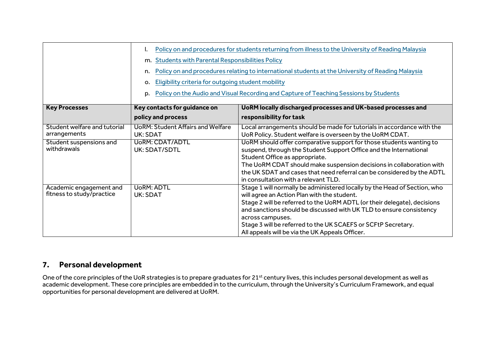|                                                      |                                                                      | Policy on and procedures for students returning from illness to the University of Reading Malaysia                                                                                                                                                                                                                                                                                                                  |
|------------------------------------------------------|----------------------------------------------------------------------|---------------------------------------------------------------------------------------------------------------------------------------------------------------------------------------------------------------------------------------------------------------------------------------------------------------------------------------------------------------------------------------------------------------------|
|                                                      | m. Students with Parental Responsibilities Policy                    |                                                                                                                                                                                                                                                                                                                                                                                                                     |
|                                                      | n.                                                                   | Policy on and procedures relating to international students at the University of Reading Malaysia                                                                                                                                                                                                                                                                                                                   |
|                                                      | Eligibility criteria for outgoing student mobility<br>$\mathsf{o}$ . |                                                                                                                                                                                                                                                                                                                                                                                                                     |
|                                                      | D.                                                                   | Policy on the Audio and Visual Recording and Capture of Teaching Sessions by Students                                                                                                                                                                                                                                                                                                                               |
| <b>Key Processes</b>                                 | Key contacts for guidance on                                         | UoRM locally discharged processes and UK-based processes and                                                                                                                                                                                                                                                                                                                                                        |
|                                                      | policy and process                                                   | responsibility for task                                                                                                                                                                                                                                                                                                                                                                                             |
| Student welfare and tutorial<br>arrangements         | <b>UoRM: Student Affairs and Welfare</b><br>UK: SDAT                 | Local arrangements should be made for tutorials in accordance with the<br>UoR Policy. Student welfare is overseen by the UoRM CDAT.                                                                                                                                                                                                                                                                                 |
| Student suspensions and<br>withdrawals               | UoRM: CDAT/ADTL<br>UK: SDAT/SDTL                                     | UoRM should offer comparative support for those students wanting to<br>suspend, through the Student Support Office and the International<br>Student Office as appropriate.<br>The UoRM CDAT should make suspension decisions in collaboration with<br>the UK SDAT and cases that need referral can be considered by the ADTL<br>in consultation with a relevant TLD.                                                |
| Academic engagement and<br>fitness to study/practice | <b>UoRM: ADTL</b><br>UK: SDAT                                        | Stage 1 will normally be administered locally by the Head of Section, who<br>will agree an Action Plan with the student.<br>Stage 2 will be referred to the UoRM ADTL (or their delegate), decisions<br>and sanctions should be discussed with UK TLD to ensure consistency<br>across campuses.<br>Stage 3 will be referred to the UK SCAEFS or SCFtP Secretary.<br>All appeals will be via the UK Appeals Officer. |

#### **7. Personal development**

One of the core principles of the UoR strategies is to prepare graduates for 21<sup>st</sup> century lives, this includes personal development as well as academic development. These core principles are embedded in to the curriculum, through the University's Curriculum Framework, and equal opportunities for personal development are delivered at UoRM.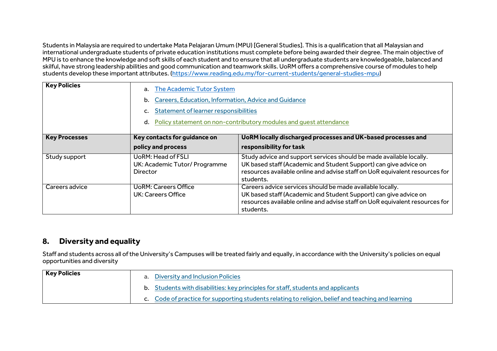Students in Malaysia are required to undertake Mata Pelajaran Umum (MPU) [General Studies]. This is a qualification that all Malaysian and international undergraduate students of private education institutions must complete before being awarded their degree. The main objective of MPU is to enhance the knowledge and soft skills of each student and to ensure that all undergraduate students are knowledgeable, balanced and skilful, have strong leadership abilities and good communication and teamwork skills. UoRM offers a comprehensive course of modules to help students develop these important attributes. [\(https://www.reading.edu.my/for-current-students/general-studies-mpu\)](https://www.reading.edu.my/for-current-students/general-studies-mpu)

| <b>Key Policies</b>  | The Academic Tutor System<br>а.<br>Careers, Education, Information, Advice and Guidance<br>b.<br>Statement of learner responsibilities<br>Policy statement on non-contributory modules and quest attendance<br>d. |                                                                                                                                                                                                                                     |
|----------------------|-------------------------------------------------------------------------------------------------------------------------------------------------------------------------------------------------------------------|-------------------------------------------------------------------------------------------------------------------------------------------------------------------------------------------------------------------------------------|
| <b>Key Processes</b> | Key contacts for guidance on                                                                                                                                                                                      | UoRM locally discharged processes and UK-based processes and                                                                                                                                                                        |
|                      | policy and process                                                                                                                                                                                                | responsibility for task                                                                                                                                                                                                             |
| Study support        | <b>UoRM: Head of FSLI</b><br>UK: Academic Tutor/ Programme<br>Director                                                                                                                                            | Study advice and support services should be made available locally.<br>UK based staff (Academic and Student Support) can give advice on<br>resources available online and advise staff on UoR equivalent resources for<br>students. |
| Careers advice       | <b>UoRM: Careers Office</b><br>UK: Careers Office                                                                                                                                                                 | Careers advice services should be made available locally.<br>UK based staff (Academic and Student Support) can give advice on<br>resources available online and advise staff on UoR equivalent resources for<br>students.           |

#### **8. Diversity and equality**

Staff and students across all of the University's Campuses will be treated fairly and equally, in accordance with the University's policies on equal opportunities and diversity

| <b>Key Policies</b> | a. Diversity and Inclusion Policies                                                                |
|---------------------|----------------------------------------------------------------------------------------------------|
|                     | b. Students with disabilities: key principles for staff, students and applicants                   |
|                     | c. Code of practice for supporting students relating to religion, belief and teaching and learning |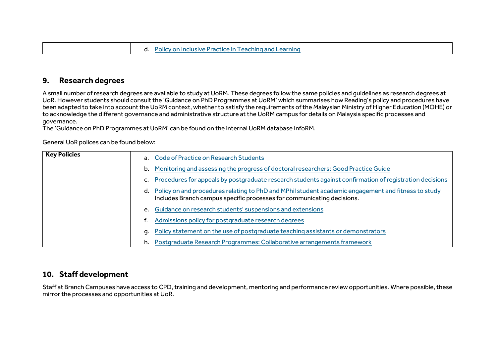#### **9. Research degrees**

A small number of research degrees are available to study at UoRM. These degrees follow the same policies and guidelines as research degrees at UoR. However students should consult the 'Guidance on PhD Programmes at UoRM' which summarises how Reading's policy and procedures have been adapted to take into account the UoRM context, whether to satisfy the requirements of the Malaysian Ministry of Higher Education (MOHE) or to acknowledge the different governance and administrative structure at the UoRM campus for details on Malaysia specific processes and governance.

The 'Guidance on PhD Programmes at UoRM' can be found on the internal UoRM database InfoRM.

General UoR polices can be found below:

| <b>Key Policies</b> |    | a. Code of Practice on Research Students                                                                                                                                         |
|---------------------|----|----------------------------------------------------------------------------------------------------------------------------------------------------------------------------------|
|                     | b. | Monitoring and assessing the progress of doctoral researchers: Good Practice Guide                                                                                               |
|                     |    | Procedures for appeals by postgraduate research students against confirmation of registration decisions                                                                          |
|                     |    | d. Policy on and procedures relating to PhD and MPhil student academic engagement and fitness to study<br>Includes Branch campus specific processes for communicating decisions. |
|                     |    | e. Guidance on research students' suspensions and extensions                                                                                                                     |
|                     |    | Admissions policy for postgraduate research degrees                                                                                                                              |
|                     |    | Policy statement on the use of postgraduate teaching assistants or demonstrators                                                                                                 |
|                     |    | h. Postgraduate Research Programmes: Collaborative arrangements framework                                                                                                        |

#### **10. Staff development**

Staff at Branch Campuses have access to CPD, training and development, mentoring and performance review opportunities. Where possible, these mirror the processes and opportunities at UoR.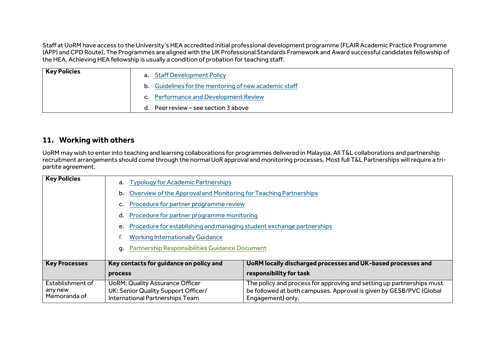Staff at UoRM have access to the University's HEA accredited initial professional development programme (FLAIR Academic Practice Programme (APP) and CPD Route), The Programmes are aligned with the UK Professional Standards Framework and Award successful candidates fellowship of the HEA. Achieving HEA fellowship is usually a condition of probation for teaching staff.

| <b>Key Policies</b> | a. Staff Development Policy                           |
|---------------------|-------------------------------------------------------|
|                     | b. Guidelines for the mentoring of new academic staff |
|                     | c. Performance and Development Review                 |
|                     | Peer review – see section 3 above<br>d.               |

#### **11. Working with others**

UoRM may wish to enter into teaching and learning collaborations for programmes delivered in Malaysia. All T&L collaborations and partnership recruitment arrangements should come through the normal UoR approval and monitoring processes. Most full T&L Partnerships will require a tripartite agreement.

| <b>Key Policies</b>                         | a. Typology for Academic Partnerships<br>b.<br>d.<br>e.<br><b>Working Internationally Guidance</b><br>a.         | Overview of the Approval and Monitoring for Teaching Partnerships<br>Procedure for partner programme review<br>Procedure for partner programme monitoring<br>Procedure for establishing and managing student exchange partnerships<br><b>Partnership Responsibilities Guidance Document</b> |  |
|---------------------------------------------|------------------------------------------------------------------------------------------------------------------|---------------------------------------------------------------------------------------------------------------------------------------------------------------------------------------------------------------------------------------------------------------------------------------------|--|
| <b>Key Processes</b>                        | Key contacts for guidance on policy and<br>process                                                               | UoRM locally discharged processes and UK-based processes and<br>responsibility for task                                                                                                                                                                                                     |  |
| Establishment of<br>any new<br>Memoranda of | <b>UoRM: Quality Assurance Officer</b><br>UK: Senior Quality Support Officer/<br>International Partnerships Team | The policy and process for approving and setting up partnerships must<br>be followed at both campuses. Approval is given by GESB/PVC (Global<br>Engagement) only.                                                                                                                           |  |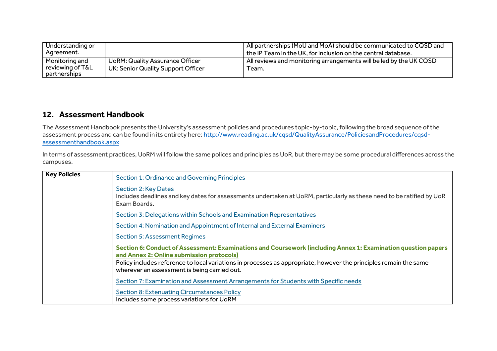| Understanding or<br>Agreement.                     |                                                                       | All partnerships (MoU and MoA) should be communicated to CQSD and<br>$^1$ the IP Team in the UK, for inclusion on the central database. |
|----------------------------------------------------|-----------------------------------------------------------------------|-----------------------------------------------------------------------------------------------------------------------------------------|
| Monitoring and<br>reviewing of T&L<br>partnerships | UoRM: Quality Assurance Officer<br>UK: Senior Quality Support Officer | All reviews and monitoring arrangements will be led by the UK CQSD<br>Team.                                                             |

#### **12. Assessment Handbook**

The Assessment Handbook presents the University's assessment policies and procedures topic-by-topic, following the broad sequence of the assessment process and can be found in its entirety here: [http://www.reading.ac.uk/cqsd/QualityAssurance/PoliciesandProcedures/cqsd](http://www.reading.ac.uk/cqsd/QualityAssurance/PoliciesandProcedures/cqsd-assessmenthandbook.aspx)[assessmenthandbook.aspx](http://www.reading.ac.uk/cqsd/QualityAssurance/PoliciesandProcedures/cqsd-assessmenthandbook.aspx)

In terms of assessment practices, UoRM will follow the same polices and principles as UoR, but there may be some procedural differences across the campuses.

| <b>Key Policies</b> | <b>Section 1: Ordinance and Governing Principles</b>                                                                                                                 |
|---------------------|----------------------------------------------------------------------------------------------------------------------------------------------------------------------|
|                     | <b>Section 2: Key Dates</b><br>Includes deadlines and key dates for assessments undertaken at UoRM, particularly as these need to be ratified by UoR<br>Exam Boards. |
|                     | Section 3: Delegations within Schools and Examination Representatives                                                                                                |
|                     | Section 4: Nomination and Appointment of Internal and External Examiners                                                                                             |
|                     | <b>Section 5: Assessment Regimes</b>                                                                                                                                 |
|                     | Section 6: Conduct of Assessment: Examinations and Coursework (including Annex 1: Examination question papers<br>and Annex 2: Online submission protocols)           |
|                     | Policy includes reference to local variations in processes as appropriate, however the principles remain the same<br>wherever an assessment is being carried out.    |
|                     | Section 7: Examination and Assessment Arrangements for Students with Specific needs                                                                                  |
|                     | <b>Section 8: Extenuating Circumstances Policy</b><br>Includes some process variations for UoRM                                                                      |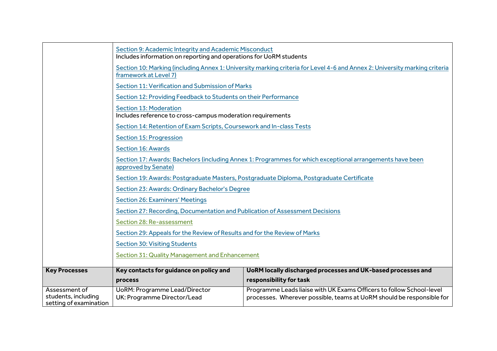|                                                                | Section 9: Academic Integrity and Academic Misconduct<br>Includes information on reporting and operations for UoRM students                         |                                                                                                                                               |  |
|----------------------------------------------------------------|-----------------------------------------------------------------------------------------------------------------------------------------------------|-----------------------------------------------------------------------------------------------------------------------------------------------|--|
|                                                                | Section 10: Marking (including Annex 1: University marking criteria for Level 4-6 and Annex 2: University marking criteria<br>framework at Level 7) |                                                                                                                                               |  |
|                                                                | Section 11: Verification and Submission of Marks                                                                                                    |                                                                                                                                               |  |
|                                                                | Section 12: Providing Feedback to Students on their Performance                                                                                     |                                                                                                                                               |  |
|                                                                | <b>Section 13: Moderation</b><br>Includes reference to cross-campus moderation requirements                                                         |                                                                                                                                               |  |
|                                                                | Section 14: Retention of Exam Scripts, Coursework and In-class Tests                                                                                |                                                                                                                                               |  |
|                                                                | <b>Section 15: Progression</b>                                                                                                                      |                                                                                                                                               |  |
|                                                                | <b>Section 16: Awards</b>                                                                                                                           |                                                                                                                                               |  |
|                                                                | Section 17: Awards: Bachelors (including Annex 1: Programmes for which exceptional arrangements have been<br>approved by Senate)                    |                                                                                                                                               |  |
|                                                                | Section 19: Awards: Postgraduate Masters, Postgraduate Diploma, Postgraduate Certificate                                                            |                                                                                                                                               |  |
|                                                                | Section 23: Awards: Ordinary Bachelor's Degree                                                                                                      |                                                                                                                                               |  |
|                                                                | <b>Section 26: Examiners' Meetings</b>                                                                                                              |                                                                                                                                               |  |
|                                                                | Section 27: Recording, Documentation and Publication of Assessment Decisions                                                                        |                                                                                                                                               |  |
|                                                                | Section 28: Re-assessment                                                                                                                           |                                                                                                                                               |  |
|                                                                | Section 29: Appeals for the Review of Results and for the Review of Marks                                                                           |                                                                                                                                               |  |
|                                                                | <b>Section 30: Visiting Students</b>                                                                                                                |                                                                                                                                               |  |
|                                                                | Section 31: Quality Management and Enhancement                                                                                                      |                                                                                                                                               |  |
| <b>Key Processes</b>                                           | Key contacts for guidance on policy and                                                                                                             | UoRM locally discharged processes and UK-based processes and                                                                                  |  |
|                                                                | process                                                                                                                                             | responsibility for task                                                                                                                       |  |
| Assessment of<br>students, including<br>setting of examination | <b>UoRM: Programme Lead/Director</b><br>UK: Programme Director/Lead                                                                                 | Programme Leads liaise with UK Exams Officers to follow School-level<br>processes. Wherever possible, teams at UoRM should be responsible for |  |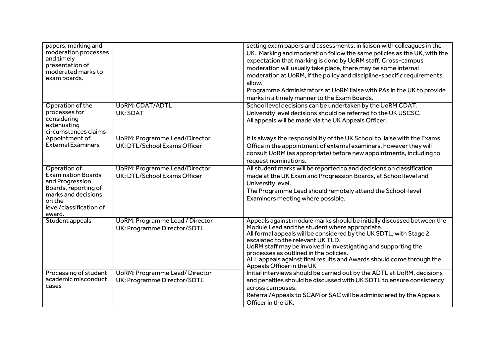| papers, marking and                |                                        | setting exam papers and assessments, in liaison with colleagues in the                               |
|------------------------------------|----------------------------------------|------------------------------------------------------------------------------------------------------|
| moderation processes               |                                        | UK. Marking and moderation follow the same policies as the UK, with the                              |
| and timely                         |                                        | expectation that marking is done by UoRM staff. Cross-campus                                         |
| presentation of                    |                                        | moderation will usually take place, there may be some internal                                       |
| moderated marks to<br>exam boards. |                                        | moderation at UoRM, if the policy and discipline-specific requirements                               |
|                                    |                                        | allow.                                                                                               |
|                                    |                                        | Programme Administrators at UoRM liaise with PAs in the UK to provide                                |
|                                    |                                        | marks in a timely manner to the Exam Boards.                                                         |
| Operation of the                   | <b>UoRM: CDAT/ADTL</b>                 | School level decisions can be undertaken by the UoRM CDAT.                                           |
| processes for                      | UK: SDAT                               | University level decisions should be referred to the UK USCSC.                                       |
| considering                        |                                        | All appeals will be made via the UK Appeals Officer.                                                 |
| extenuating                        |                                        |                                                                                                      |
| circumstances claims               |                                        |                                                                                                      |
| Appointment of                     | <b>UoRM: Programme Lead/Director</b>   | It is always the responsibility of the UK School to liaise with the Exams                            |
| <b>External Examiners</b>          | UK: DTL/School Exams Officer           | Office in the appointment of external examiners, however they will                                   |
|                                    |                                        | consult UoRM (as appropriate) before new appointments, including to                                  |
|                                    |                                        | request nominations.                                                                                 |
| Operation of                       | <b>UoRM: Programme Lead/Director</b>   | All student marks will be reported to and decisions on classification                                |
| <b>Examination Boards</b>          | UK: DTL/School Exams Officer           | made at the UK Exam and Progression Boards, at School level and                                      |
| and Progression                    |                                        | University level.                                                                                    |
| Boards, reporting of               |                                        | The Programme Lead should remotely attend the School-level                                           |
| marks and decisions<br>on the      |                                        | Examiners meeting where possible.                                                                    |
| level/classification of            |                                        |                                                                                                      |
| award.                             |                                        |                                                                                                      |
| Student appeals                    | <b>UoRM: Programme Lead / Director</b> | Appeals against module marks should be initially discussed between the                               |
|                                    | UK: Programme Director/SDTL            | Module Lead and the student where appropriate.                                                       |
|                                    |                                        | All formal appeals will be considered by the UK SDTL, with Stage 2                                   |
|                                    |                                        | escalated to the relevant UK TLD.                                                                    |
|                                    |                                        | UoRM staff may be involved in investigating and supporting the                                       |
|                                    |                                        | processes as outlined in the policies.                                                               |
|                                    |                                        | ALL appeals against final results and Awards should come through the                                 |
| Processing of student              | <b>UoRM: Programme Lead/ Director</b>  | Appeals Officer in the UK<br>Initial interviews should be carried out by the ADTL at UoRM, decisions |
| academic misconduct                |                                        |                                                                                                      |
| cases                              | UK: Programme Director/SDTL            | and penalties should be discussed with UK SDTL to ensure consistency                                 |
|                                    |                                        | across campuses.                                                                                     |
|                                    |                                        | Referral/Appeals to SCAM or SAC will be administered by the Appeals                                  |
|                                    |                                        | Officer in the UK.                                                                                   |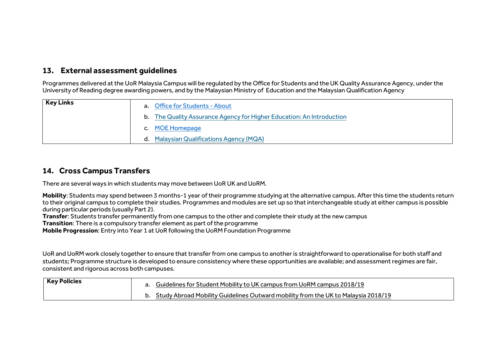#### **13. External assessment guidelines**

Programmes delivered at the UoR Malaysia Campus will be regulated by the Office for Students and the UK Quality Assurance Agency, under the University of Reading degree awarding powers, and by the Malaysian Ministry of Education and the Malaysian Qualification Agency

| <b>Key Links</b> | a. Office for Students - About<br>b. The Quality Assurance Agency for Higher Education: An Introduction |
|------------------|---------------------------------------------------------------------------------------------------------|
|                  | c. MOE Homepage<br><b>Malaysian Qualifications Agency (MQA)</b><br>d.                                   |

#### **14. Cross Campus Transfers**

There are several ways in which students may move between UoR UK and UoRM.

**Mobility**: Students may spend between 3 months-1 year of their programme studying at the alternative campus. After this time the students return to their original campus to complete their studies. Programmes and modules are set up so that interchangeable study at either campus is possible during particular periods (usually Part 2).

**Transfer**: Students transfer permanently from one campus to the other and complete their study at the new campus

**Transition**: There is a compulsory transfer element as part of the programme

**Mobile Progression**: Entry into Year 1 at UoR following the UoRM Foundation Programme

UoR and UoRM work closely together to ensure that transfer from one campus to another is straightforward to operationalise for both staff and students; Programme structure is developed to ensure consistency where these opportunities are available; and assessment regimes are fair, consistent and rigorous across both campuses.

| <b>Key Policies</b> | Guidelines for Student Mobility to UK campus from UoRM campus 2018/19             |
|---------------------|-----------------------------------------------------------------------------------|
|                     | Study Abroad Mobility Guidelines Outward mobility from the UK to Malaysia 2018/19 |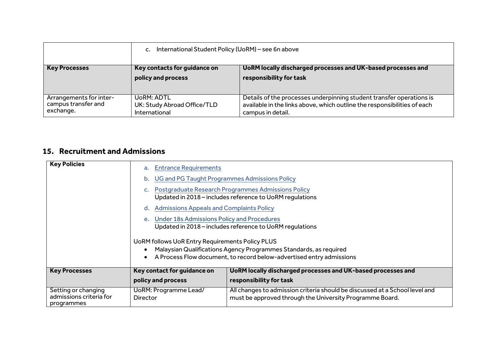|                                                             | International Student Policy (UoRM) - see 6n above<br>$c_{\cdot}$ |                                                                                                                                                                       |  |
|-------------------------------------------------------------|-------------------------------------------------------------------|-----------------------------------------------------------------------------------------------------------------------------------------------------------------------|--|
| <b>Key Processes</b>                                        | Key contacts for guidance on<br>policy and process                | UoRM locally discharged processes and UK-based processes and<br>responsibility for task                                                                               |  |
| Arrangements for inter-<br>campus transfer and<br>exchange. | UoRM: ADTL<br>UK: Study Abroad Office/TLD<br>International        | Details of the processes underpinning student transfer operations is<br>available in the links above, which outline the responsibilities of each<br>campus in detail. |  |

## **15. Recruitment and Admissions**

| <b>Key Policies</b>                                          | <b>Entrance Requirements</b><br>a.<br>UG and PG Taught Programmes Admissions Policy<br>b.<br>Postgraduate Research Programmes Admissions Policy<br>Updated in 2018 - includes reference to UoRM regulations                                                                                                                                                                  |                                                                                                                                         |  |  |
|--------------------------------------------------------------|------------------------------------------------------------------------------------------------------------------------------------------------------------------------------------------------------------------------------------------------------------------------------------------------------------------------------------------------------------------------------|-----------------------------------------------------------------------------------------------------------------------------------------|--|--|
|                                                              | <b>Admissions Appeals and Complaints Policy</b><br>d.<br><b>Under 18s Admissions Policy and Procedures</b><br>е.<br>Updated in 2018 – includes reference to UoRM regulations<br>UoRM follows UoR Entry Requirements Policy PLUS<br>Malaysian Qualifications Agency Programmes Standards, as required<br>A Process Flow document, to record below-advertised entry admissions |                                                                                                                                         |  |  |
| <b>Key Processes</b>                                         | Key contact for guidance on<br>policy and process                                                                                                                                                                                                                                                                                                                            | UoRM locally discharged processes and UK-based processes and<br>responsibility for task                                                 |  |  |
| Setting or changing<br>admissions criteria for<br>programmes | UoRM: Programme Lead/<br><b>Director</b>                                                                                                                                                                                                                                                                                                                                     | All changes to admission criteria should be discussed at a School level and<br>must be approved through the University Programme Board. |  |  |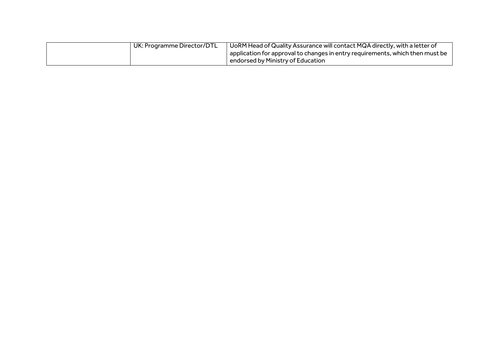| UK: Programme Director/DTL | UoRM Head of Quality Assurance will contact MQA directly, with a letter of    |
|----------------------------|-------------------------------------------------------------------------------|
|                            | application for approval to changes in entry requirements, which then must be |
|                            | endorsed by Ministry of Education                                             |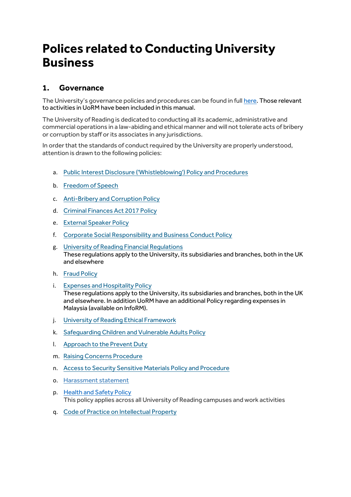# **Polices related to Conducting University Business**

#### **1. Governance**

The University's governance policies and procedures can be found in full [here.](http://www.reading.ac.uk/internal/academic-and-governance-services/AGS-policies.aspx) Those relevant to activities in UoRM have been included in this manual.

The University of Reading is dedicated to conducting all its academic, administrative and commercial operations in a law-abiding and ethical manner and will not tolerate acts of bribery or corruption by staff or its associates in any jurisdictions.

In order that the standards of conduct required by the University are properly understood, attention is drawn to the following policies:

- a. [Public Interest Disclosure \('Whistleblowing'\) Policy and Procedures](http://www.reading.ac.uk/nmsruntime/saveasdialog.aspx?lID=74836&sID=286788)
- b. [Freedom of Speech](http://www.reading.ac.uk/nmsruntime/saveasdialog.aspx?lID=127742&sID=454166)
- c. [Anti-Bribery and Corruption Policy](http://www.reading.ac.uk/nmsruntime/saveasdialog.aspx?lID=100418&sID=286788)
- d. [Criminal Finances Act 2017 Policy](http://www.reading.ac.uk/nmsruntime/saveasdialog.aspx?lID=127150&sID=286788)
- e. [External Speaker Policy](http://www.reading.ac.uk/internal/staffportal/policies-processes/external-speakers/sp-external-speaker-policy.aspx)
- f. [Corporate Social Responsibility and Business Conduct Policy](http://www.reading.ac.uk/nmsruntime/saveasdialog.aspx?lID=54090&sID=286788)
- g. [University of Reading Financial Regulations](http://www.reading.ac.uk/nmsruntime/saveasdialog.aspx?lID=26495&sID=286788) These regulations apply to the University, its subsidiaries and branches, both in the UK and elsewhere
- h. [Fraud Policy](http://www.reading.ac.uk/nmsruntime/saveasdialog.aspx?lID=131417&sID=286788)
- i. [Expenses and Hospitality Policy](http://www.reading.ac.uk/nmsruntime/saveasdialog.aspx?lID=72392&sID=286788) These regulations apply to the University, its subsidiaries and branches, both in the UK and elsewhere. In addition UoRM have an additional Policy regarding expenses in Malaysia (available on InfoRM).
- j. [University of Reading Ethical Framework](http://www.reading.ac.uk/nmsruntime/saveasdialog.aspx?lID=115920&sID=286788)
- k. [Safeguarding Children and Vulnerable Adults Policy](http://www.reading.ac.uk/nmsruntime/saveasdialog.aspx?lID=119531&sID=286788)
- l. [Approach to the Prevent Duty](http://www.reading.ac.uk/nmsruntime/saveasdialog.aspx?lID=127682&sID=286788)
- m. [Raising Concerns Procedure](http://www.reading.ac.uk/nmsruntime/saveasdialog.aspx?lID=127683&sID=286788)
- n. [Access to Security Sensitive Materials Policy and Procedure](http://www.reading.ac.uk/nmsruntime/saveasdialog.aspx?lID=119768&sID=286788)
- o. [Harassment statement](https://www.reading.ac.uk/web/FILES/humanresources/Harassment_Statement.pdf)
- p. [Health and Safety Policy](http://www.cms.rdg.ac.uk/nmsruntime/saveasdialog.aspx?lID=120853&sID=143475&ContentStatus=1) This policy applies across all University of Reading campuses and work activities
- q. [Code of Practice on Intellectual Property](http://www.reading.ac.uk/nmsruntime/saveasdialog.aspx?lID=127817&sID=454166)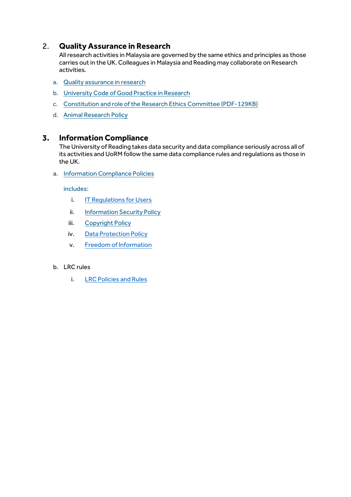## 2. **Quality Assurance in Research**

Allresearch activities in Malaysia are governed by the same ethics and principles as those carries out in the UK. Colleagues in Malaysia and Reading may collaborate on Research activities.

- a. [Quality assurance in research](http://www.reading.ac.uk/internal/academic-and-governance-services/quality-assurance-in-research/reas-RSqar.aspx)
- b. [University Code of Good Practice in Research](http://www.reading.ac.uk/nmsruntime/saveasdialog.aspx?lID=29599&sID=139725)
- c. [Constitution and role of the Research Ethics Committee \(PDF-129KB\)](http://www.reading.ac.uk/nmsruntime/saveasdialog.aspx?lID=37406&sID=139725)
- d. [Animal Research Policy](http://www.reading.ac.uk/nmsruntime/saveasdialog.aspx?lID=115924&sID=97892)

#### **3. Information Compliance**

The University of Reading takes data security and data compliance seriously across all of its activities and UoRM follow the same data compliance rules and regulations as those in the UK.

a. Information [Compliance Policies](http://www.reading.ac.uk/internal/imps/policiesdocs/imps-policies.aspx)

includes:

- i. [IT Regulations for Users](http://www.reading.ac.uk/web/files/its/Regulations_for_the_use_of_the_University)
- ii. Information Security Policy
- iii. [Copyright Policy](http://www.reading.ac.uk/nmsruntime/saveasdialog.aspx?lID=34976&sID=100246)
- iv. [Data Protection Policy](http://www.reading.ac.uk/web/files/imps/Data-Protection-Policy-CURRENT.pdf)
- v. [Freedom of Information](http://www.reading.ac.uk/web/files/imps/2016FOIEIRPolicyCURRENT.pdf)
- b. LRC [rules](http://www.reading.ac.uk/library/contact/info-for/new/lib-new-users.aspx)
	- i. [LRC Policies and Rules](https://www.reading.ac.uk/lrc/using/policies/lrc-policies.aspx)